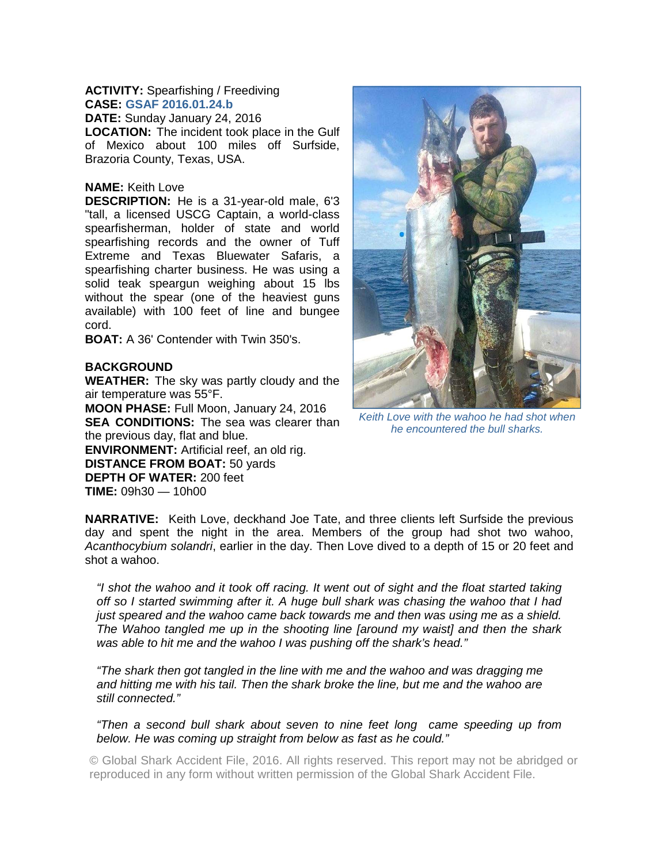## **ACTIVITY:** Spearfishing / Freediving **CASE: GSAF 2016.01.24.b**

**DATE:** Sunday January 24, 2016 **LOCATION:** The incident took place in the Gulf of Mexico about 100 miles off Surfside, Brazoria County, Texas, USA.

## **NAME:** Keith Love

**DESCRIPTION:** He is a 31-year-old male, 6'3 "tall, a licensed USCG Captain, a world-class spearfisherman, holder of state and world spearfishing records and the owner of Tuff Extreme and Texas Bluewater Safaris, a spearfishing charter business. He was using a solid teak speargun weighing about 15 lbs without the spear (one of the heaviest guns available) with 100 feet of line and bungee cord.

**BOAT:** A 36' Contender with Twin 350's.

## **BACKGROUND**

**WEATHER:** The sky was partly cloudy and the air temperature was 55°F.

**MOON PHASE:** Full Moon, January 24, 2016 **SEA CONDITIONS:** The sea was clearer than the previous day, flat and blue. **ENVIRONMENT:** Artificial reef, an old rig. **DISTANCE FROM BOAT:** 50 yards **DEPTH OF WATER:** 200 feet

**TIME:** 09h30 — 10h00



*Keith Love with the wahoo he had shot when he encountered the bull sharks.* 

**NARRATIVE:** Keith Love, deckhand Joe Tate, and three clients left Surfside the previous day and spent the night in the area. Members of the group had shot two wahoo, *Acanthocybium solandri*, earlier in the day. Then Love dived to a depth of 15 or 20 feet and shot a wahoo.

*"I shot the wahoo and it took off racing. It went out of sight and the float started taking off so I started swimming after it. A huge bull shark was chasing the wahoo that I had just speared and the wahoo came back towards me and then was using me as a shield. The Wahoo tangled me up in the shooting line [around my waist] and then the shark was able to hit me and the wahoo I was pushing off the shark's head."* 

*"The shark then got tangled in the line with me and the wahoo and was dragging me and hitting me with his tail. Then the shark broke the line, but me and the wahoo are still connected."* 

*"Then a second bull shark about seven to nine feet long came speeding up from below. He was coming up straight from below as fast as he could."* 

© Global Shark Accident File, 2016. All rights reserved. This report may not be abridged or reproduced in any form without written permission of the Global Shark Accident File.